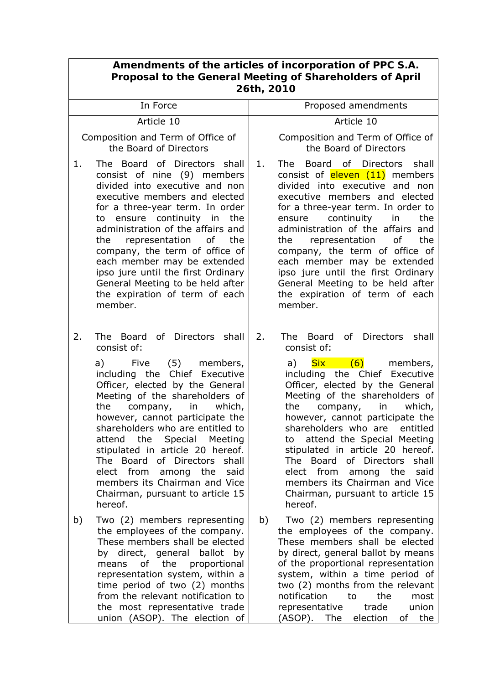| Amendments of the articles of incorporation of PPC S.A.<br>Proposal to the General Meeting of Shareholders of April<br>26th, 2010 |                                                                                                                                                                                                                                                                                                                                                                                                                                                                                                                         |    |                                                                                                                                                                                                                                                                                                                                                                                                                                                                                                                                              |  |  |
|-----------------------------------------------------------------------------------------------------------------------------------|-------------------------------------------------------------------------------------------------------------------------------------------------------------------------------------------------------------------------------------------------------------------------------------------------------------------------------------------------------------------------------------------------------------------------------------------------------------------------------------------------------------------------|----|----------------------------------------------------------------------------------------------------------------------------------------------------------------------------------------------------------------------------------------------------------------------------------------------------------------------------------------------------------------------------------------------------------------------------------------------------------------------------------------------------------------------------------------------|--|--|
|                                                                                                                                   | In Force                                                                                                                                                                                                                                                                                                                                                                                                                                                                                                                |    | Proposed amendments                                                                                                                                                                                                                                                                                                                                                                                                                                                                                                                          |  |  |
| Article 10                                                                                                                        |                                                                                                                                                                                                                                                                                                                                                                                                                                                                                                                         |    | Article 10                                                                                                                                                                                                                                                                                                                                                                                                                                                                                                                                   |  |  |
|                                                                                                                                   | Composition and Term of Office of<br>the Board of Directors                                                                                                                                                                                                                                                                                                                                                                                                                                                             |    | Composition and Term of Office of<br>the Board of Directors                                                                                                                                                                                                                                                                                                                                                                                                                                                                                  |  |  |
| 1.                                                                                                                                | The Board of Directors shall<br>consist of nine (9) members<br>divided into executive and non<br>executive members and elected<br>for a three-year term. In order<br>ensure continuity in<br>the<br>to<br>administration of the affairs and<br>the<br>representation of<br>the<br>company, the term of office of<br>each member may be extended<br>ipso jure until the first Ordinary<br>General Meeting to be held after<br>the expiration of term of each<br>member.                                                  | 1. | Directors<br>shall<br>The l<br>Board<br>of .<br>consist of eleven (11) members<br>divided into executive and non<br>executive members and elected<br>for a three-year term. In order to<br>continuity<br>the<br>in<br>ensure<br>administration of the affairs and<br>the<br>representation<br>0f<br>the<br>company, the term of office of<br>each member may be extended<br>ipso jure until the first Ordinary<br>General Meeting to be held after<br>the expiration of term of each<br>member.                                              |  |  |
| 2.                                                                                                                                | The Board of Directors shall<br>consist of:<br>a)<br>Five<br>(5)<br>members,<br>including the Chief Executive<br>Officer, elected by the General<br>Meeting of the shareholders of<br>which,<br>the<br>company,<br>in<br>however, cannot participate the<br>shareholders who are entitled to<br>attend the Special Meeting<br>stipulated in article 20 hereof.<br>The Board<br>of Directors<br>shall<br>elect from<br>among the<br>said<br>members its Chairman and Vice<br>Chairman, pursuant to article 15<br>hereof. | 2. | The Board<br>of Directors<br>shall<br>consist of:<br><b>Six</b><br>$\sqrt{(6)}$<br>a)<br>members,<br>including the Chief Executive<br>Officer, elected by the General<br>Meeting of the shareholders of<br>which,<br>the<br>company,<br>in<br>however, cannot participate the<br>shareholders who are entitled<br>attend the Special Meeting<br>to<br>stipulated in article 20 hereof.<br>The Board<br>of Directors<br>shall<br>elect from among the<br>said<br>members its Chairman and Vice<br>Chairman, pursuant to article 15<br>hereof. |  |  |
| b)                                                                                                                                | Two (2) members representing<br>the employees of the company.<br>These members shall be elected<br>by direct, general ballot by<br>the<br>of<br>proportional<br>means<br>representation system, within a<br>time period of two (2) months<br>from the relevant notification to<br>the most representative trade<br>union (ASOP). The election of                                                                                                                                                                        | b) | Two (2) members representing<br>the employees of the company.<br>These members shall be elected<br>by direct, general ballot by means<br>of the proportional representation<br>system, within a time period of<br>two (2) months from the relevant<br>notification<br>the<br>to<br>most<br>trade<br>union<br>representative<br>election<br>(ASOP). The<br>the<br>of                                                                                                                                                                          |  |  |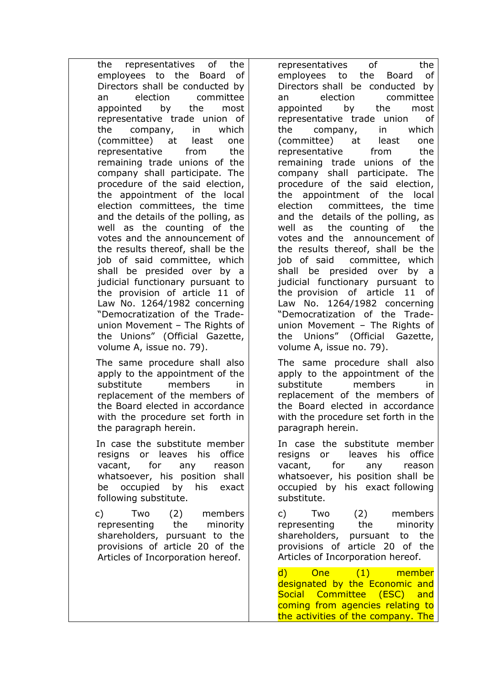the representatives of the employees to the Board of Directors shall be conducted by an election committee appointed by the most representative trade union of the company, in which (committee) at least one representative from the remaining trade unions of the company shall participate. The procedure of the said election, the appointment of the local election committees, the time and the details of the polling, as well as the counting of the votes and the announcement of the results thereof, shall be the job of said committee, which shall be presided over by a judicial functionary pursuant to the provision of article 11 of Law No. 1264/1982 concerning "Democratization of the Tradeunion Movement – The Rights of the Unions" (Official Gazette, volume Α, issue no. 79).

 The same procedure shall also apply to the appointment of the substitute members in replacement of the members of the Board elected in accordance with the procedure set forth in the paragraph herein.

 In case the substitute member resigns or leaves his office vacant, for any reason whatsoever, his position shall be occupied by his exact following substitute.

c) Two (2) members representing the minority shareholders, pursuant to the provisions of article 20 of the Articles of Incorporation hereof.

representatives of the employees to the Board of Directors shall be conducted by an election committee appointed by the most representative trade union of the company, in which (committee) at least one representative from the remaining trade unions of the company shall participate. The procedure of the said election, the appointment of the local election committees, the time and the details of the polling, as well as the counting of the votes and the announcement of the results thereof, shall be the job of said committee, which shall be presided over by a judicial functionary pursuant to the provision of article 11 of Law No. 1264/1982 concerning "Democratization of the Tradeunion Movement – The Rights of the Unions" (Official Gazette, volume Α, issue no. 79).

The same procedure shall also apply to the appointment of the substitute members in replacement of the members of the Board elected in accordance with the procedure set forth in the paragraph herein.

In case the substitute member resigns or leaves his office vacant, for any reason whatsoever, his position shall be occupied by his exact following substitute.

c) Two (2) members representing the minority shareholders, pursuant to the provisions of article 20 of the Articles of Incorporation hereof.

d) One (1) member designated by the Economic and Social Committee (ESC) and coming from agencies relating to the activities of the company. The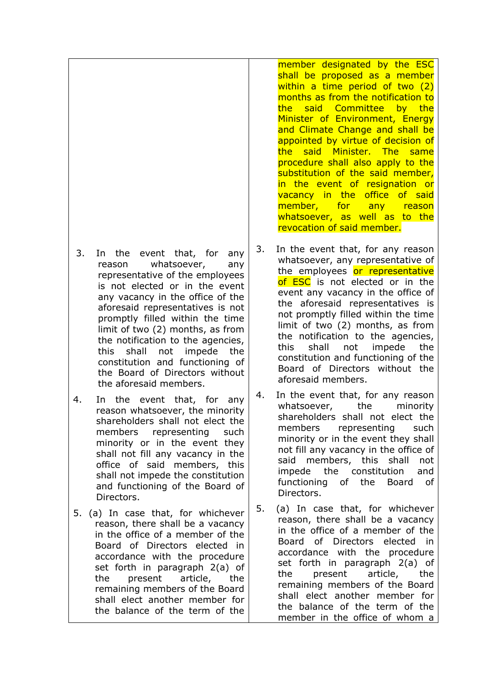- 3. In the event that, for any reason whatsoever, any representative of the employees is not elected or in the event any vacancy in the office of the aforesaid representatives is not promptly filled within the time limit of two (2) months, as from the notification to the agencies, this shall not impede the constitution and functioning of the Board of Directors without the aforesaid members.
- 4. In the event that, for any reason whatsoever, the minority shareholders shall not elect the members representing such minority or in the event they shall not fill any vacancy in the office of said members, this shall not impede the constitution and functioning of the Board of Directors.
- 5. (a) In case that, for whichever reason, there shall be a vacancy in the office of a member of the Board of Directors elected in accordance with the procedure set forth in paragraph 2(a) of the present article, the remaining members of the Board shall elect another member for the balance of the term of the

member designated by the ESC shall be proposed as a member within a time period of two (2) months as from the notification to the said Committee by the Minister of Environment, Energy and Climate Change and shall be appointed by virtue of decision of the said Minister. The same procedure shall also apply to the substitution of the said member, in the event of resignation or vacancy in the office of said member, for any reason whatsoever, as well as to the revocation of said member.

- 3. In the event that, for any reason whatsoever, any representative of the employees or representative of ESC is not elected or in the event any vacancy in the office of the aforesaid representatives is not promptly filled within the time limit of two (2) months, as from the notification to the agencies, this shall not impede the constitution and functioning of the Board of Directors without the aforesaid members.
- 4. In the event that, for any reason whatsoever, the minority shareholders shall not elect the members representing such minority or in the event they shall not fill any vacancy in the office of said members, this shall not impede the constitution and functioning of the Board of Directors.
- 5. (a) In case that, for whichever reason, there shall be a vacancy in the office of a member of the Board of Directors elected in accordance with the procedure set forth in paragraph 2(a) of the present article, the remaining members of the Board shall elect another member for the balance of the term of the member in the office of whom a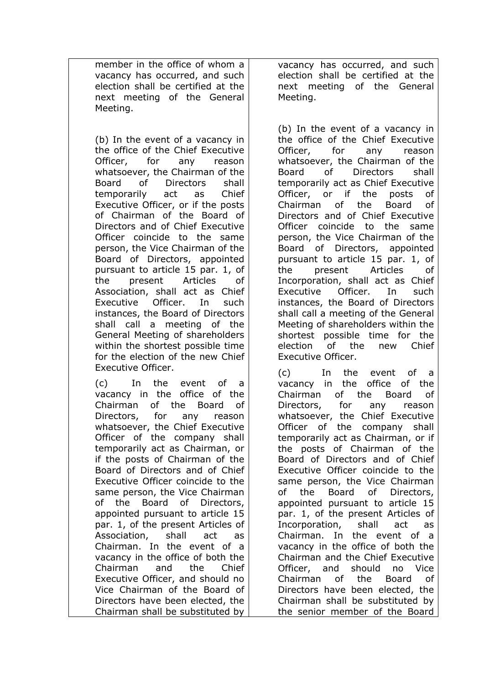member in the office of whom a vacancy has occurred, and such election shall be certified at the next meeting of the General Meeting.

 (b) In the event of a vacancy in the office of the Chief Executive Officer, for any reason whatsoever, the Chairman of the Board of Directors shall temporarily act as Chief Executive Officer, or if the posts of Chairman of the Board of Directors and of Chief Executive Officer coincide to the same person, the Vice Chairman of the Board of Directors, appointed pursuant to article 15 par. 1, of the present Articles of Association, shall act as Chief Executive Officer. In such instances, the Board of Directors shall call a meeting of the General Meeting of shareholders within the shortest possible time for the election of the new Chief Executive Officer.

(c) In the event of a vacancy in the office of the Chairman of the Board of Directors, for any reason whatsoever, the Chief Executive Officer of the company shall temporarily act as Chairman, or if the posts of Chairman of the Board of Directors and of Chief Executive Officer coincide to the same person, the Vice Chairman of the Board of Directors, appointed pursuant to article 15 par. 1, of the present Articles of Association, shall act as Chairman. In the event of a vacancy in the office of both the Chairman and the Chief Executive Officer, and should no Vice Chairman of the Board of Directors have been elected, the Chairman shall be substituted by

vacancy has occurred, and such election shall be certified at the next meeting of the General Meeting.

(b) In the event of a vacancy in the office of the Chief Executive Officer, for any reason whatsoever, the Chairman of the Board of Directors shall temporarily act as Chief Executive Officer, or if the posts of Chairman of the Board of Directors and of Chief Executive Officer coincide to the same person, the Vice Chairman of the Board of Directors, appointed pursuant to article 15 par. 1, of the present Articles of Incorporation, shall act as Chief Executive Officer. In such instances, the Board of Directors shall call a meeting of the General Meeting of shareholders within the shortest possible time for the election of the new Chief Executive Officer.

(c) In the event of a vacancy in the office of the Chairman of the Board of Directors, for any reason whatsoever, the Chief Executive Officer of the company shall temporarily act as Chairman, or if the posts of Chairman of the Board of Directors and of Chief Executive Officer coincide to the same person, the Vice Chairman of the Board of Directors, appointed pursuant to article 15 par. 1, of the present Articles of Incorporation, shall act as Chairman. In the event of a vacancy in the office of both the Chairman and the Chief Executive Officer, and should no Vice Chairman of the Board of Directors have been elected, the Chairman shall be substituted by the senior member of the Board